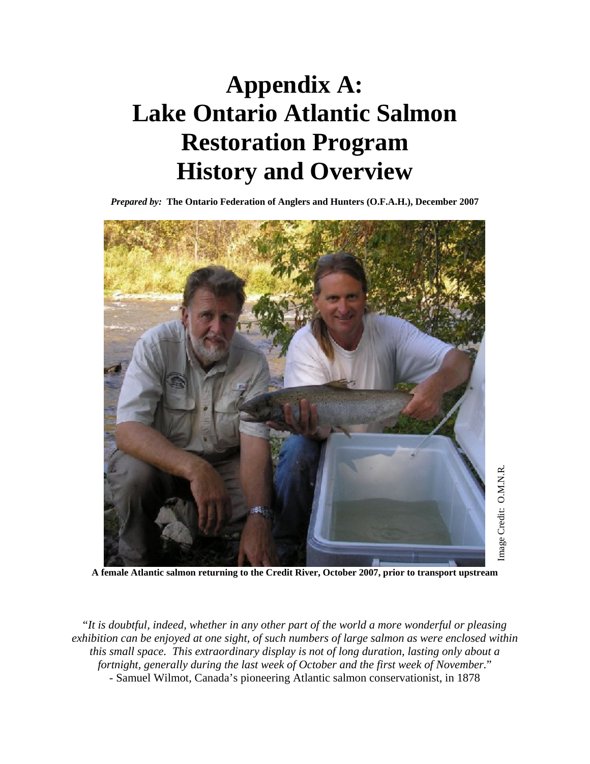# **Appendix A: Lake Ontario Atlantic Salmon Restoration Program History and Overview**

*Prepared by:* **The Ontario Federation of Anglers and Hunters (O.F.A.H.), December 2007** 



**A female Atlantic salmon returning to the Credit River, October 2007, prior to transport upstream** 

"*It is doubtful, indeed, whether in any other part of the world a more wonderful or pleasing exhibition can be enjoyed at one sight, of such numbers of large salmon as were enclosed within this small space. This extraordinary display is not of long duration, lasting only about a fortnight, generally during the last week of October and the first week of November.*" - Samuel Wilmot, Canada's pioneering Atlantic salmon conservationist, in 1878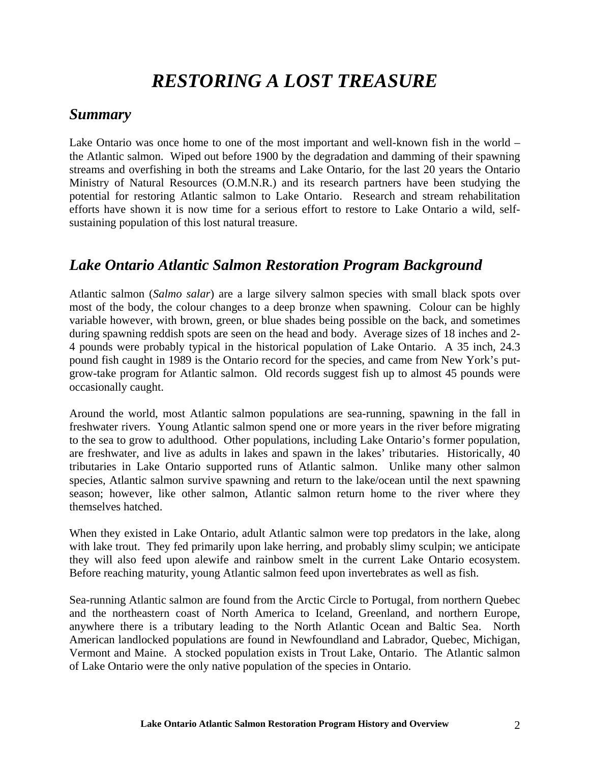## *RESTORING A LOST TREASURE*

### *Summary*

Lake Ontario was once home to one of the most important and well-known fish in the world – the Atlantic salmon. Wiped out before 1900 by the degradation and damming of their spawning streams and overfishing in both the streams and Lake Ontario, for the last 20 years the Ontario Ministry of Natural Resources (O.M.N.R.) and its research partners have been studying the potential for restoring Atlantic salmon to Lake Ontario. Research and stream rehabilitation efforts have shown it is now time for a serious effort to restore to Lake Ontario a wild, selfsustaining population of this lost natural treasure.

### *Lake Ontario Atlantic Salmon Restoration Program Background*

Atlantic salmon (*Salmo salar*) are a large silvery salmon species with small black spots over most of the body, the colour changes to a deep bronze when spawning. Colour can be highly variable however, with brown, green, or blue shades being possible on the back, and sometimes during spawning reddish spots are seen on the head and body. Average sizes of 18 inches and 2- 4 pounds were probably typical in the historical population of Lake Ontario. A 35 inch, 24.3 pound fish caught in 1989 is the Ontario record for the species, and came from New York's putgrow-take program for Atlantic salmon. Old records suggest fish up to almost 45 pounds were occasionally caught.

Around the world, most Atlantic salmon populations are sea-running, spawning in the fall in freshwater rivers. Young Atlantic salmon spend one or more years in the river before migrating to the sea to grow to adulthood. Other populations, including Lake Ontario's former population, are freshwater, and live as adults in lakes and spawn in the lakes' tributaries. Historically, 40 tributaries in Lake Ontario supported runs of Atlantic salmon. Unlike many other salmon species, Atlantic salmon survive spawning and return to the lake/ocean until the next spawning season; however, like other salmon, Atlantic salmon return home to the river where they themselves hatched.

When they existed in Lake Ontario, adult Atlantic salmon were top predators in the lake, along with lake trout. They fed primarily upon lake herring, and probably slimy sculpin; we anticipate they will also feed upon alewife and rainbow smelt in the current Lake Ontario ecosystem. Before reaching maturity, young Atlantic salmon feed upon invertebrates as well as fish.

Sea-running Atlantic salmon are found from the Arctic Circle to Portugal, from northern Quebec and the northeastern coast of North America to Iceland, Greenland, and northern Europe, anywhere there is a tributary leading to the North Atlantic Ocean and Baltic Sea. North American landlocked populations are found in Newfoundland and Labrador, Quebec, Michigan, Vermont and Maine. A stocked population exists in Trout Lake, Ontario. The Atlantic salmon of Lake Ontario were the only native population of the species in Ontario.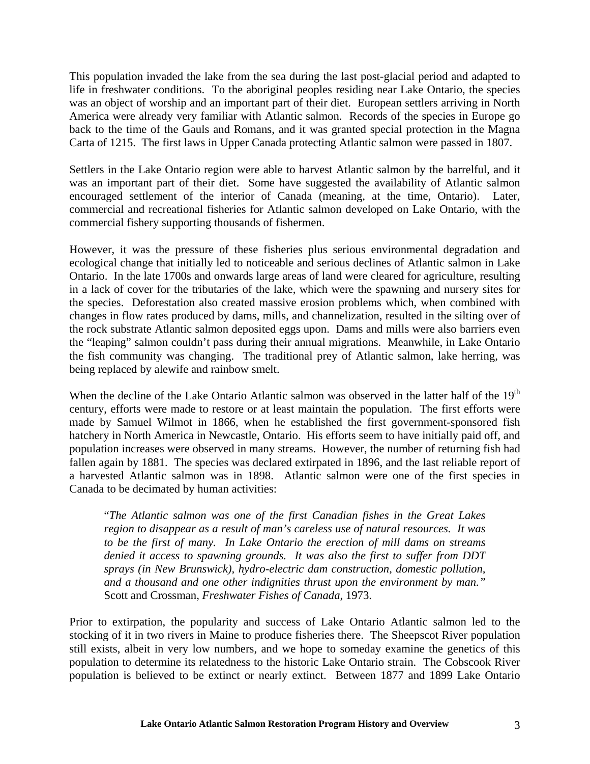This population invaded the lake from the sea during the last post-glacial period and adapted to life in freshwater conditions. To the aboriginal peoples residing near Lake Ontario, the species was an object of worship and an important part of their diet. European settlers arriving in North America were already very familiar with Atlantic salmon. Records of the species in Europe go back to the time of the Gauls and Romans, and it was granted special protection in the Magna Carta of 1215. The first laws in Upper Canada protecting Atlantic salmon were passed in 1807.

Settlers in the Lake Ontario region were able to harvest Atlantic salmon by the barrelful, and it was an important part of their diet. Some have suggested the availability of Atlantic salmon encouraged settlement of the interior of Canada (meaning, at the time, Ontario). Later, commercial and recreational fisheries for Atlantic salmon developed on Lake Ontario, with the commercial fishery supporting thousands of fishermen.

However, it was the pressure of these fisheries plus serious environmental degradation and ecological change that initially led to noticeable and serious declines of Atlantic salmon in Lake Ontario. In the late 1700s and onwards large areas of land were cleared for agriculture, resulting in a lack of cover for the tributaries of the lake, which were the spawning and nursery sites for the species. Deforestation also created massive erosion problems which, when combined with changes in flow rates produced by dams, mills, and channelization, resulted in the silting over of the rock substrate Atlantic salmon deposited eggs upon. Dams and mills were also barriers even the "leaping" salmon couldn't pass during their annual migrations. Meanwhile, in Lake Ontario the fish community was changing. The traditional prey of Atlantic salmon, lake herring, was being replaced by alewife and rainbow smelt.

When the decline of the Lake Ontario Atlantic salmon was observed in the latter half of the 19<sup>th</sup> century, efforts were made to restore or at least maintain the population. The first efforts were made by Samuel Wilmot in 1866, when he established the first government-sponsored fish hatchery in North America in Newcastle, Ontario. His efforts seem to have initially paid off, and population increases were observed in many streams. However, the number of returning fish had fallen again by 1881. The species was declared extirpated in 1896, and the last reliable report of a harvested Atlantic salmon was in 1898. Atlantic salmon were one of the first species in Canada to be decimated by human activities:

"*The Atlantic salmon was one of the first Canadian fishes in the Great Lakes region to disappear as a result of man's careless use of natural resources. It was to be the first of many. In Lake Ontario the erection of mill dams on streams denied it access to spawning grounds. It was also the first to suffer from DDT sprays (in New Brunswick), hydro-electric dam construction, domestic pollution, and a thousand and one other indignities thrust upon the environment by man."* Scott and Crossman, *Freshwater Fishes of Canada*, 1973.

Prior to extirpation, the popularity and success of Lake Ontario Atlantic salmon led to the stocking of it in two rivers in Maine to produce fisheries there. The Sheepscot River population still exists, albeit in very low numbers, and we hope to someday examine the genetics of this population to determine its relatedness to the historic Lake Ontario strain. The Cobscook River population is believed to be extinct or nearly extinct. Between 1877 and 1899 Lake Ontario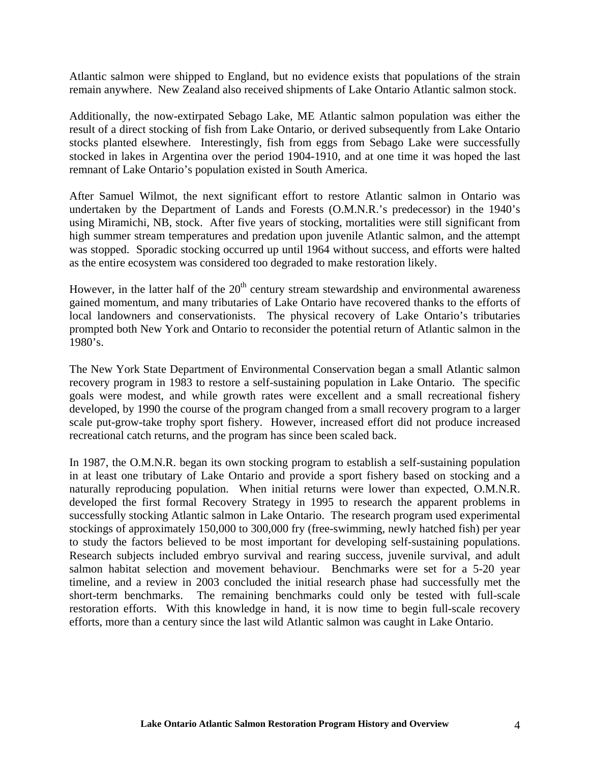Atlantic salmon were shipped to England, but no evidence exists that populations of the strain remain anywhere. New Zealand also received shipments of Lake Ontario Atlantic salmon stock.

Additionally, the now-extirpated Sebago Lake, ME Atlantic salmon population was either the result of a direct stocking of fish from Lake Ontario, or derived subsequently from Lake Ontario stocks planted elsewhere. Interestingly, fish from eggs from Sebago Lake were successfully stocked in lakes in Argentina over the period 1904-1910, and at one time it was hoped the last remnant of Lake Ontario's population existed in South America.

After Samuel Wilmot, the next significant effort to restore Atlantic salmon in Ontario was undertaken by the Department of Lands and Forests (O.M.N.R.'s predecessor) in the 1940's using Miramichi, NB, stock. After five years of stocking, mortalities were still significant from high summer stream temperatures and predation upon juvenile Atlantic salmon, and the attempt was stopped. Sporadic stocking occurred up until 1964 without success, and efforts were halted as the entire ecosystem was considered too degraded to make restoration likely.

However, in the latter half of the  $20<sup>th</sup>$  century stream stewardship and environmental awareness gained momentum, and many tributaries of Lake Ontario have recovered thanks to the efforts of local landowners and conservationists. The physical recovery of Lake Ontario's tributaries prompted both New York and Ontario to reconsider the potential return of Atlantic salmon in the 1980's.

The New York State Department of Environmental Conservation began a small Atlantic salmon recovery program in 1983 to restore a self-sustaining population in Lake Ontario. The specific goals were modest, and while growth rates were excellent and a small recreational fishery developed, by 1990 the course of the program changed from a small recovery program to a larger scale put-grow-take trophy sport fishery. However, increased effort did not produce increased recreational catch returns, and the program has since been scaled back.

In 1987, the O.M.N.R. began its own stocking program to establish a self-sustaining population in at least one tributary of Lake Ontario and provide a sport fishery based on stocking and a naturally reproducing population. When initial returns were lower than expected, O.M.N.R. developed the first formal Recovery Strategy in 1995 to research the apparent problems in successfully stocking Atlantic salmon in Lake Ontario. The research program used experimental stockings of approximately 150,000 to 300,000 fry (free-swimming, newly hatched fish) per year to study the factors believed to be most important for developing self-sustaining populations. Research subjects included embryo survival and rearing success, juvenile survival, and adult salmon habitat selection and movement behaviour. Benchmarks were set for a 5-20 year timeline, and a review in 2003 concluded the initial research phase had successfully met the short-term benchmarks. The remaining benchmarks could only be tested with full-scale restoration efforts. With this knowledge in hand, it is now time to begin full-scale recovery efforts, more than a century since the last wild Atlantic salmon was caught in Lake Ontario.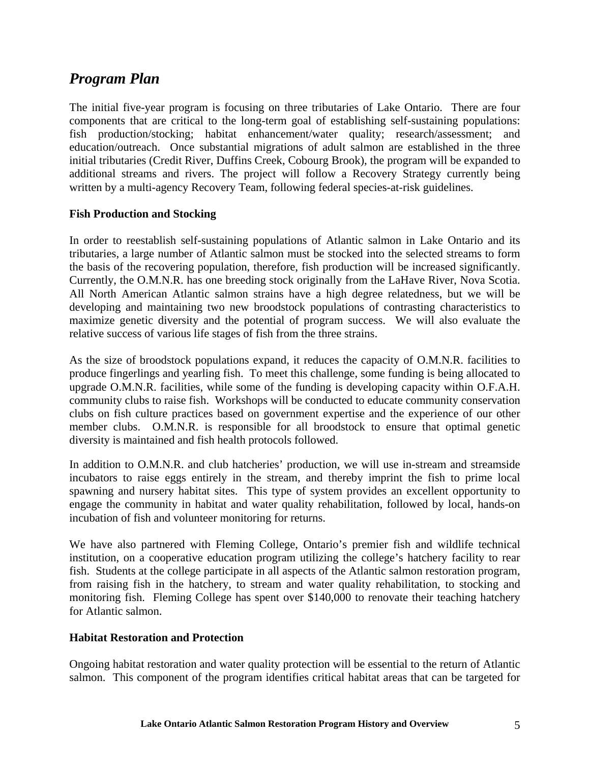### *Program Plan*

The initial five-year program is focusing on three tributaries of Lake Ontario. There are four components that are critical to the long-term goal of establishing self-sustaining populations: fish production/stocking; habitat enhancement/water quality; research/assessment; and education/outreach. Once substantial migrations of adult salmon are established in the three initial tributaries (Credit River, Duffins Creek, Cobourg Brook), the program will be expanded to additional streams and rivers. The project will follow a Recovery Strategy currently being written by a multi-agency Recovery Team, following federal species-at-risk guidelines.

### **Fish Production and Stocking**

In order to reestablish self-sustaining populations of Atlantic salmon in Lake Ontario and its tributaries, a large number of Atlantic salmon must be stocked into the selected streams to form the basis of the recovering population, therefore, fish production will be increased significantly. Currently, the O.M.N.R. has one breeding stock originally from the LaHave River, Nova Scotia. All North American Atlantic salmon strains have a high degree relatedness, but we will be developing and maintaining two new broodstock populations of contrasting characteristics to maximize genetic diversity and the potential of program success. We will also evaluate the relative success of various life stages of fish from the three strains.

As the size of broodstock populations expand, it reduces the capacity of O.M.N.R. facilities to produce fingerlings and yearling fish. To meet this challenge, some funding is being allocated to upgrade O.M.N.R. facilities, while some of the funding is developing capacity within O.F.A.H. community clubs to raise fish. Workshops will be conducted to educate community conservation clubs on fish culture practices based on government expertise and the experience of our other member clubs. O.M.N.R. is responsible for all broodstock to ensure that optimal genetic diversity is maintained and fish health protocols followed.

In addition to O.M.N.R. and club hatcheries' production, we will use in-stream and streamside incubators to raise eggs entirely in the stream, and thereby imprint the fish to prime local spawning and nursery habitat sites. This type of system provides an excellent opportunity to engage the community in habitat and water quality rehabilitation, followed by local, hands-on incubation of fish and volunteer monitoring for returns.

We have also partnered with Fleming College, Ontario's premier fish and wildlife technical institution, on a cooperative education program utilizing the college's hatchery facility to rear fish. Students at the college participate in all aspects of the Atlantic salmon restoration program, from raising fish in the hatchery, to stream and water quality rehabilitation, to stocking and monitoring fish. Fleming College has spent over \$140,000 to renovate their teaching hatchery for Atlantic salmon.

### **Habitat Restoration and Protection**

Ongoing habitat restoration and water quality protection will be essential to the return of Atlantic salmon. This component of the program identifies critical habitat areas that can be targeted for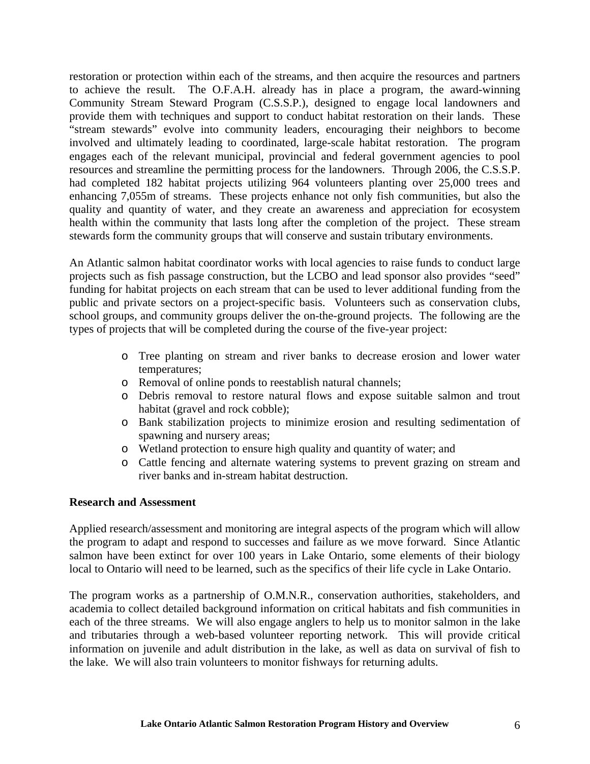restoration or protection within each of the streams, and then acquire the resources and partners to achieve the result. The O.F.A.H. already has in place a program, the award-winning Community Stream Steward Program (C.S.S.P.), designed to engage local landowners and provide them with techniques and support to conduct habitat restoration on their lands. These "stream stewards" evolve into community leaders, encouraging their neighbors to become involved and ultimately leading to coordinated, large-scale habitat restoration. The program engages each of the relevant municipal, provincial and federal government agencies to pool resources and streamline the permitting process for the landowners. Through 2006, the C.S.S.P. had completed 182 habitat projects utilizing 964 volunteers planting over 25,000 trees and enhancing 7,055m of streams. These projects enhance not only fish communities, but also the quality and quantity of water, and they create an awareness and appreciation for ecosystem health within the community that lasts long after the completion of the project. These stream stewards form the community groups that will conserve and sustain tributary environments.

An Atlantic salmon habitat coordinator works with local agencies to raise funds to conduct large projects such as fish passage construction, but the LCBO and lead sponsor also provides "seed" funding for habitat projects on each stream that can be used to lever additional funding from the public and private sectors on a project-specific basis. Volunteers such as conservation clubs, school groups, and community groups deliver the on-the-ground projects. The following are the types of projects that will be completed during the course of the five-year project:

- o Tree planting on stream and river banks to decrease erosion and lower water temperatures;
- o Removal of online ponds to reestablish natural channels;
- o Debris removal to restore natural flows and expose suitable salmon and trout habitat (gravel and rock cobble);
- o Bank stabilization projects to minimize erosion and resulting sedimentation of spawning and nursery areas;
- o Wetland protection to ensure high quality and quantity of water; and
- o Cattle fencing and alternate watering systems to prevent grazing on stream and river banks and in-stream habitat destruction.

### **Research and Assessment**

Applied research/assessment and monitoring are integral aspects of the program which will allow the program to adapt and respond to successes and failure as we move forward. Since Atlantic salmon have been extinct for over 100 years in Lake Ontario, some elements of their biology local to Ontario will need to be learned, such as the specifics of their life cycle in Lake Ontario.

The program works as a partnership of O.M.N.R., conservation authorities, stakeholders, and academia to collect detailed background information on critical habitats and fish communities in each of the three streams. We will also engage anglers to help us to monitor salmon in the lake and tributaries through a web-based volunteer reporting network. This will provide critical information on juvenile and adult distribution in the lake, as well as data on survival of fish to the lake. We will also train volunteers to monitor fishways for returning adults.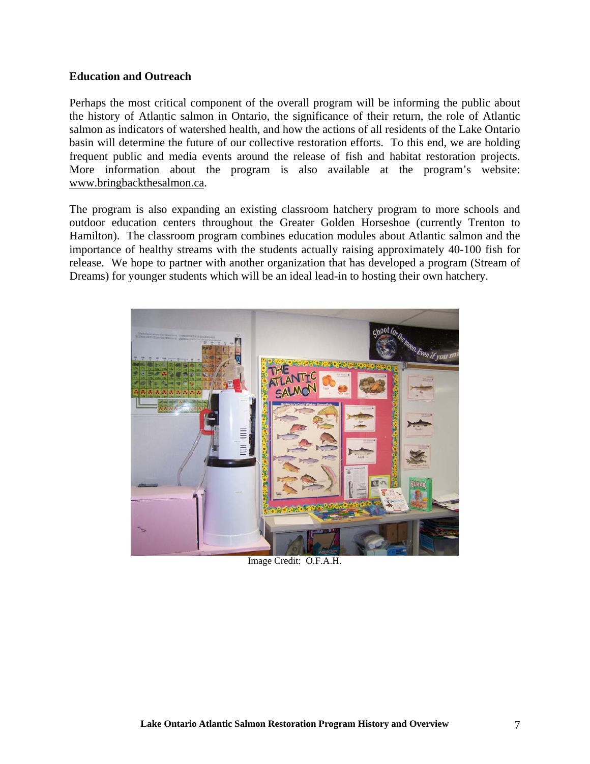### **Education and Outreach**

Perhaps the most critical component of the overall program will be informing the public about the history of Atlantic salmon in Ontario, the significance of their return, the role of Atlantic salmon as indicators of watershed health, and how the actions of all residents of the Lake Ontario basin will determine the future of our collective restoration efforts. To this end, we are holding frequent public and media events around the release of fish and habitat restoration projects. More information about the program is also available at the program's website: www.bringbackthesalmon.ca.

The program is also expanding an existing classroom hatchery program to more schools and outdoor education centers throughout the Greater Golden Horseshoe (currently Trenton to Hamilton). The classroom program combines education modules about Atlantic salmon and the importance of healthy streams with the students actually raising approximately 40-100 fish for release. We hope to partner with another organization that has developed a program (Stream of Dreams) for younger students which will be an ideal lead-in to hosting their own hatchery.



Image Credit: O.F.A.H.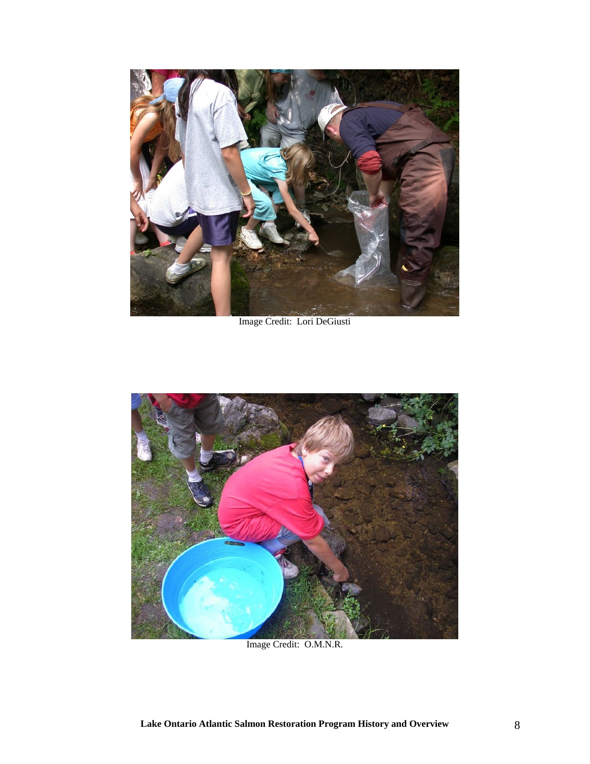

Image Credit: Lori DeGiusti



Image Credit: O.M.N.R.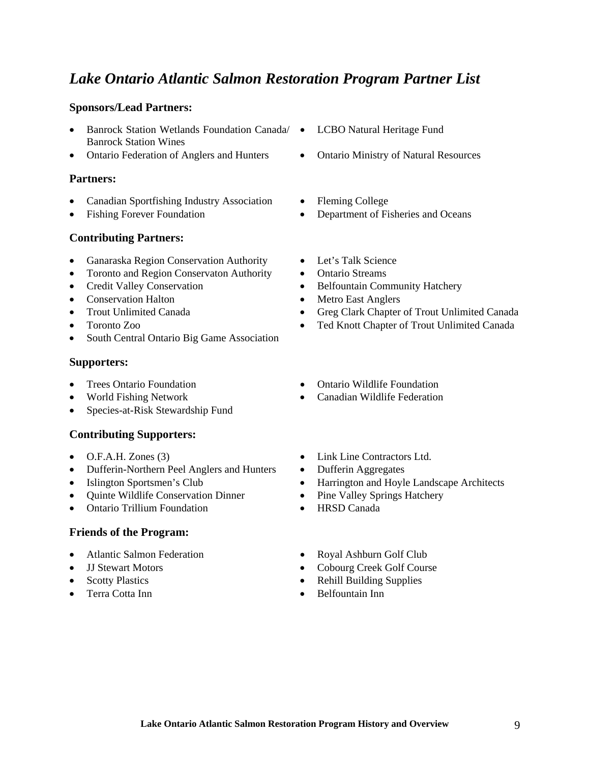### *Lake Ontario Atlantic Salmon Restoration Program Partner List*

### **Sponsors/Lead Partners:**

- Banrock Station Wetlands Foundation Canada/ LCBO Natural Heritage Fund Banrock Station Wines
- Ontario Federation of Anglers and Hunters Ontario Ministry of Natural Resources

### **Partners:**

- Canadian Sportfishing Industry Association Fleming College
- 

### **Contributing Partners:**

- Ganaraska Region Conservation Authority Let's Talk Science
- Toronto and Region Conservaton Authority Ontario Streams
- 
- Conservation Halton Metro East Anglers
- 
- 
- South Central Ontario Big Game Association

### **Supporters:**

- 
- 
- Species-at-Risk Stewardship Fund

### **Contributing Supporters:**

- 
- Dufferin-Northern Peel Anglers and Hunters Dufferin Aggregates
- 
- Quinte Wildlife Conservation Dinner Pine Valley Springs Hatchery
- Ontario Trillium Foundation HRSD Canada

### **Friends of the Program:**

- Atlantic Salmon Federation Royal Ashburn Golf Club
- 
- 
- 
- 
- 
- 
- Fishing Forever Foundation Department of Fisheries and Oceans
	-
	-
	- Credit Valley Conservation Belfountain Community Hatchery
		-
	- Trout Unlimited Canada Greg Clark Chapter of Trout Unlimited Canada
- Toronto Zoo Ted Knott Chapter of Trout Unlimited Canada
- Trees Ontario Foundation Ontario Wildlife Foundation
	- World Fishing Network Canadian Wildlife Federation
- O.F.A.H. Zones (3) Link Line Contractors Ltd.
	-
- Islington Sportsmen's Club Harrington and Hoyle Landscape Architects
	-
	-
	-
- JJ Stewart Motors Cobourg Creek Golf Course
- Scotty Plastics Rehill Building Supplies
- Terra Cotta Inn Belfountain Inn